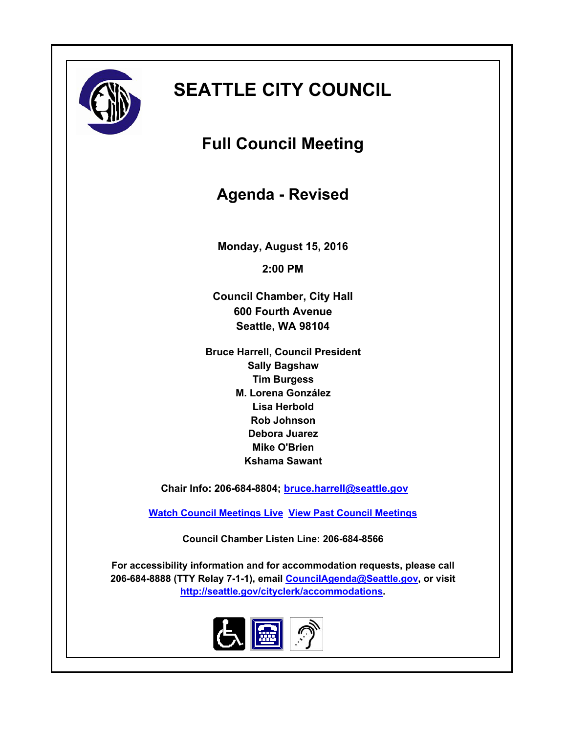

# **SEATTLE CITY COUNCIL**

**Full Council Meeting**

**Agenda - Revised**

**Monday, August 15, 2016**

**2:00 PM**

**Council Chamber, City Hall 600 Fourth Avenue Seattle, WA 98104**

**Bruce Harrell, Council President Sally Bagshaw Tim Burgess M. Lorena González Lisa Herbold Rob Johnson Debora Juarez Mike O'Brien Kshama Sawant**

 **Chair Info: 206-684-8804; [bruce.harrell@seattle.gov](mailto:bruce.harrell@seattle.gov)**

**[Watch Council Meetings Live](http://www.seattle.gov/council/councillive.htm) [View Past Council Meetings](http://www.seattlechannel.org/videos/browseVideos.asp?topic=council)**

**Council Chamber Listen Line: 206-684-8566**

**For accessibility information and for accommodation requests, please call 206-684-8888 (TTY Relay 7-1-1), email [CouncilAgenda@Seattle.gov](mailto: Council.Agenda@Seattle.gov), or visit <http://seattle.gov/cityclerk/accommodations>.**

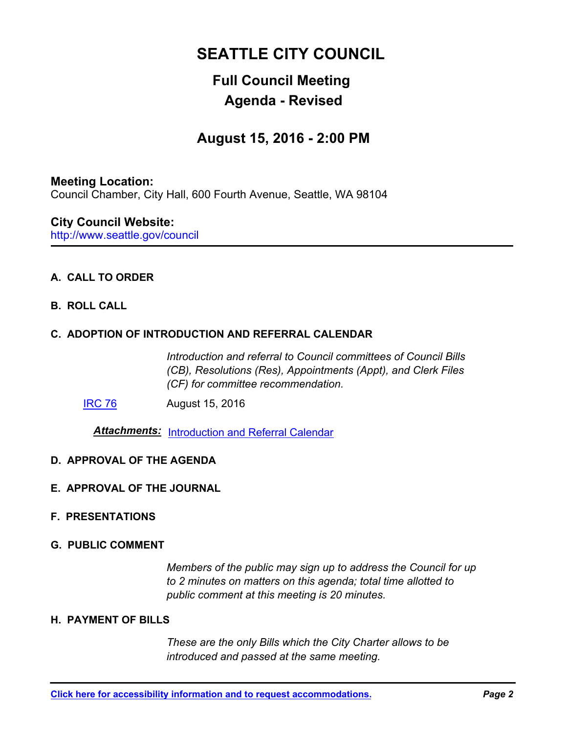# **SEATTLE CITY COUNCIL**

# **Full Council Meeting Agenda - Revised**

# **August 15, 2016 - 2:00 PM**

#### **Meeting Location:**

Council Chamber, City Hall, 600 Fourth Avenue, Seattle, WA 98104

#### http://www.seattle.gov/council **City Council Website:**

### **A. CALL TO ORDER**

**B. ROLL CALL**

#### **C. ADOPTION OF INTRODUCTION AND REFERRAL CALENDAR**

*Introduction and referral to Council committees of Council Bills (CB), Resolutions (Res), Appointments (Appt), and Clerk Files (CF) for committee recommendation.*

[IRC 76](http://seattle.legistar.com/gateway.aspx?m=l&id=/matter.aspx?key=4442) August 15, 2016

*Attachments:* [Introduction and Referral Calendar](http://seattle.legistar.com/gateway.aspx?M=F&ID=f5d8eeca-84e4-4895-8ebc-1e29781a5379.pdf)

- **D. APPROVAL OF THE AGENDA**
- **E. APPROVAL OF THE JOURNAL**
- **F. PRESENTATIONS**
- **G. PUBLIC COMMENT**

*Members of the public may sign up to address the Council for up to 2 minutes on matters on this agenda; total time allotted to public comment at this meeting is 20 minutes.*

#### **H. PAYMENT OF BILLS**

*These are the only Bills which the City Charter allows to be introduced and passed at the same meeting.*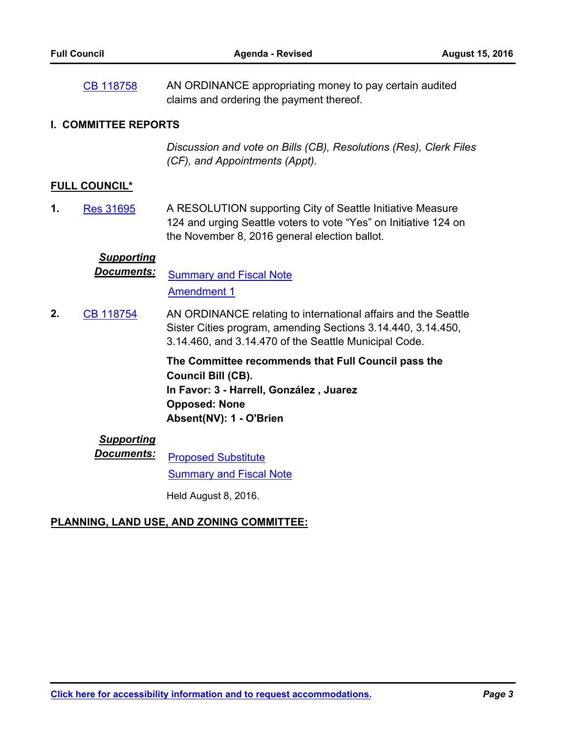AN ORDINANCE appropriating money to pay certain audited claims and ordering the payment thereof. [CB 118758](http://seattle.legistar.com/gateway.aspx?m=l&id=/matter.aspx?key=4431)

#### **I. COMMITTEE REPORTS**

*Discussion and vote on Bills (CB), Resolutions (Res), Clerk Files (CF), and Appointments (Appt).*

#### **FULL COUNCIL\***

A RESOLUTION supporting City of Seattle Initiative Measure 124 and urging Seattle voters to vote "Yes" on Initiative 124 on the November 8, 2016 general election ballot. **1.** [Res 31695](http://seattle.legistar.com/gateway.aspx?m=l&id=/matter.aspx?key=4407)

# *Supporting*

**Documents:** [Summary and Fiscal Note](http://seattle.legistar.com/gateway.aspx?M=F&ID=55d96e4f-07e7-4bd9-92e6-9a8b57d52c84.docx) [Amendment 1](http://seattle.legistar.com/gateway.aspx?M=F&ID=7f54d44c-171e-4873-bf73-598e8f2a7f39.docx)

AN ORDINANCE relating to international affairs and the Seattle Sister Cities program, amending Sections 3.14.440, 3.14.450, 3.14.460, and 3.14.470 of the Seattle Municipal Code. **2.** [CB 118754](http://seattle.legistar.com/gateway.aspx?m=l&id=/matter.aspx?key=4369)

> **The Committee recommends that Full Council pass the Council Bill (CB). In Favor: 3 - Harrell, González , Juarez Opposed: None Absent(NV): 1 - O'Brien**

# *Supporting*

**Documents:** [Proposed Substitute](http://seattle.legistar.com/gateway.aspx?M=F&ID=ce8977c9-1a25-40c8-b34e-e9dfd94be835.docx) [Summary and Fiscal Note](http://seattle.legistar.com/gateway.aspx?M=F&ID=1205148d-6b46-4399-b4f3-2b35289166bf.docx)

Held August 8, 2016.

#### **PLANNING, LAND USE, AND ZONING COMMITTEE:**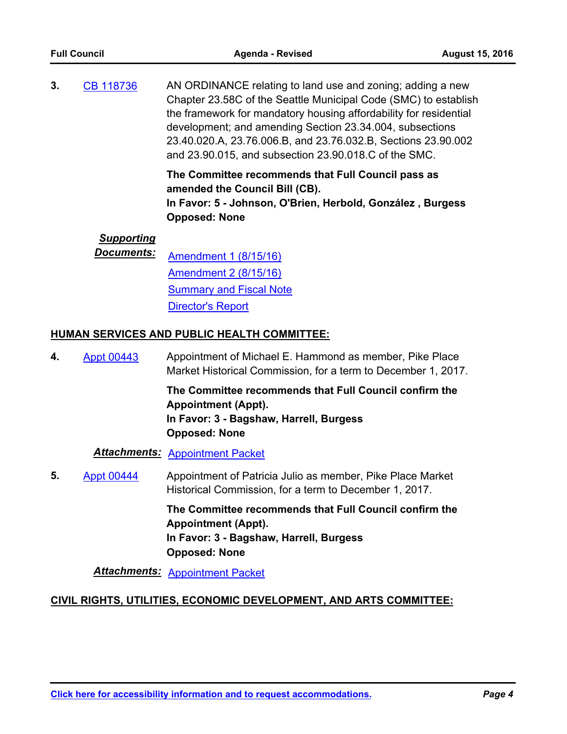AN ORDINANCE relating to land use and zoning; adding a new Chapter 23.58C of the Seattle Municipal Code (SMC) to establish the framework for mandatory housing affordability for residential development; and amending Section 23.34.004, subsections 23.40.020.A, 23.76.006.B, and 23.76.032.B, Sections 23.90.002 and 23.90.015, and subsection 23.90.018.C of the SMC. **3.** [CB 118736](http://seattle.legistar.com/gateway.aspx?m=l&id=/matter.aspx?key=4295)

> **The Committee recommends that Full Council pass as amended the Council Bill (CB).**

**In Favor: 5 - Johnson, O'Brien, Herbold, González , Burgess Opposed: None**

#### *Supporting*

*Documents:* [Amendment 1 \(8/15/16\)](http://seattle.legistar.com/gateway.aspx?M=F&ID=f75e4755-d8ba-4414-a0ca-48ddc21d0369.pdf) [Amendment 2 \(8/15/16\)](http://seattle.legistar.com/gateway.aspx?M=F&ID=238da6b8-ceb0-409e-a071-aa6d8da977de.pdf) [Summary and Fiscal Note](http://seattle.legistar.com/gateway.aspx?M=F&ID=6b84dc8f-af89-4d11-95e8-aa78712282ef.docx) [Director's Report](http://seattle.legistar.com/gateway.aspx?M=F&ID=cd630776-eb9d-4303-9936-054f69c0f28e.docx)

#### **HUMAN SERVICES AND PUBLIC HEALTH COMMITTEE:**

Appointment of Michael E. Hammond as member, Pike Place Market Historical Commission, for a term to December 1, 2017. **4.** [Appt 00443](http://seattle.legistar.com/gateway.aspx?m=l&id=/matter.aspx?key=4177)

> **The Committee recommends that Full Council confirm the Appointment (Appt). In Favor: 3 - Bagshaw, Harrell, Burgess Opposed: None**

#### *Attachments:* [Appointment Packet](http://seattle.legistar.com/gateway.aspx?M=F&ID=074390bc-cfa5-4683-a784-dcec527e9fa1.pdf)

Appointment of Patricia Julio as member, Pike Place Market Historical Commission, for a term to December 1, 2017. **5.** [Appt 00444](http://seattle.legistar.com/gateway.aspx?m=l&id=/matter.aspx?key=4178)

> **The Committee recommends that Full Council confirm the Appointment (Appt). In Favor: 3 - Bagshaw, Harrell, Burgess Opposed: None**

*Attachments:* [Appointment Packet](http://seattle.legistar.com/gateway.aspx?M=F&ID=8e93a9f3-6ecf-4b52-9a47-fe192fd94f18.pdf)

#### **CIVIL RIGHTS, UTILITIES, ECONOMIC DEVELOPMENT, AND ARTS COMMITTEE:**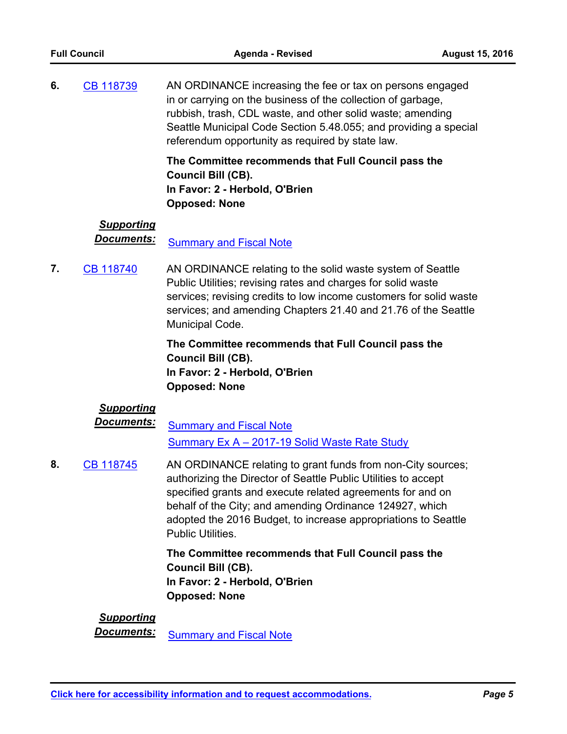AN ORDINANCE increasing the fee or tax on persons engaged in or carrying on the business of the collection of garbage, rubbish, trash, CDL waste, and other solid waste; amending Seattle Municipal Code Section 5.48.055; and providing a special referendum opportunity as required by state law. **6.** [CB 118739](http://seattle.legistar.com/gateway.aspx?m=l&id=/matter.aspx?key=4111)

> **The Committee recommends that Full Council pass the Council Bill (CB). In Favor: 2 - Herbold, O'Brien Opposed: None**

#### *Supporting*

**Documents:** [Summary and Fiscal Note](http://seattle.legistar.com/gateway.aspx?M=F&ID=54646a58-8493-4bb0-91ce-89e2206c8aa6.docx)

AN ORDINANCE relating to the solid waste system of Seattle Public Utilities; revising rates and charges for solid waste services; revising credits to low income customers for solid waste services; and amending Chapters 21.40 and 21.76 of the Seattle Municipal Code. **7.** [CB 118740](http://seattle.legistar.com/gateway.aspx?m=l&id=/matter.aspx?key=4208)

> **The Committee recommends that Full Council pass the Council Bill (CB). In Favor: 2 - Herbold, O'Brien Opposed: None**

## *Supporting*

**Documents:** [Summary and Fiscal Note](http://seattle.legistar.com/gateway.aspx?M=F&ID=cd265039-541a-4550-ba9d-2bafaa772eaa.docx) [Summary Ex A – 2017-19 Solid Waste Rate Study](http://seattle.legistar.com/gateway.aspx?M=F&ID=69058699-c787-474d-ac7b-a8c8ea886e78.docx)

AN ORDINANCE relating to grant funds from non-City sources; authorizing the Director of Seattle Public Utilities to accept specified grants and execute related agreements for and on behalf of the City; and amending Ordinance 124927, which adopted the 2016 Budget, to increase appropriations to Seattle Public Utilities. **8.** [CB 118745](http://seattle.legistar.com/gateway.aspx?m=l&id=/matter.aspx?key=4245)

> **The Committee recommends that Full Council pass the Council Bill (CB). In Favor: 2 - Herbold, O'Brien Opposed: None**

#### *Supporting*

**Documents:** [Summary and Fiscal Note](http://seattle.legistar.com/gateway.aspx?M=F&ID=75073c81-f1e1-4583-8076-b3a9f245c909.docx)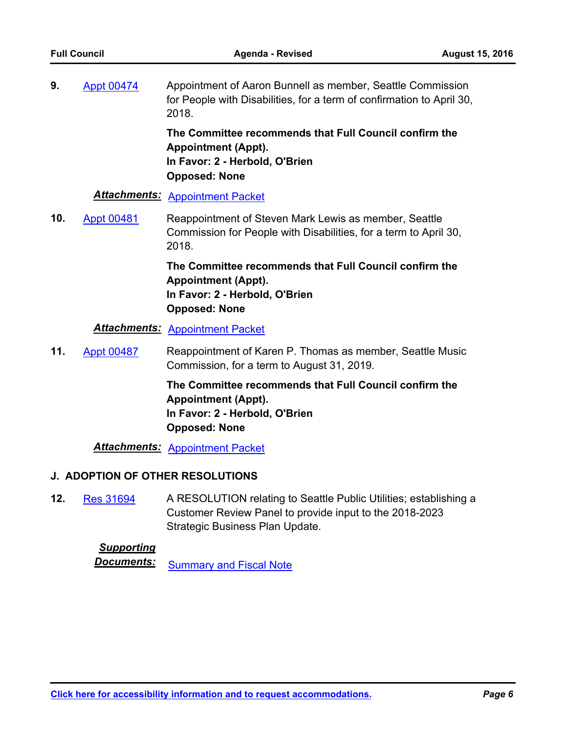Appointment of Aaron Bunnell as member, Seattle Commission for People with Disabilities, for a term of confirmation to April 30, 2018. **9.** [Appt 00474](http://seattle.legistar.com/gateway.aspx?m=l&id=/matter.aspx?key=4298)

> **The Committee recommends that Full Council confirm the Appointment (Appt). In Favor: 2 - Herbold, O'Brien Opposed: None**

#### *Attachments:* [Appointment Packet](http://seattle.legistar.com/gateway.aspx?M=F&ID=4b90145d-224a-4b4f-ba94-147d7a2d7fed.pdf)

Reappointment of Steven Mark Lewis as member, Seattle Commission for People with Disabilities, for a term to April 30, 2018. **10.** [Appt 00481](http://seattle.legistar.com/gateway.aspx?m=l&id=/matter.aspx?key=4338)

> **The Committee recommends that Full Council confirm the Appointment (Appt). In Favor: 2 - Herbold, O'Brien Opposed: None**

*Attachments:* [Appointment Packet](http://seattle.legistar.com/gateway.aspx?M=F&ID=08ff23fc-8c87-4592-87a0-851445bcbd84.pdf)

Reappointment of Karen P. Thomas as member, Seattle Music Commission, for a term to August 31, 2019. **11.** [Appt 00487](http://seattle.legistar.com/gateway.aspx?m=l&id=/matter.aspx?key=4400)

> **The Committee recommends that Full Council confirm the Appointment (Appt). In Favor: 2 - Herbold, O'Brien Opposed: None**

*Attachments:* [Appointment Packet](http://seattle.legistar.com/gateway.aspx?M=F&ID=05160dba-be55-4e15-a888-565188aa052f.pdf)

#### **J. ADOPTION OF OTHER RESOLUTIONS**

A RESOLUTION relating to Seattle Public Utilities; establishing a Customer Review Panel to provide input to the 2018-2023 Strategic Business Plan Update. **12.** [Res 31694](http://seattle.legistar.com/gateway.aspx?m=l&id=/matter.aspx?key=4213)

#### *Supporting*

**Documents:** [Summary and Fiscal Note](http://seattle.legistar.com/gateway.aspx?M=F&ID=d034d592-f1d4-4f86-a5a5-2ef59142d3d6.docx)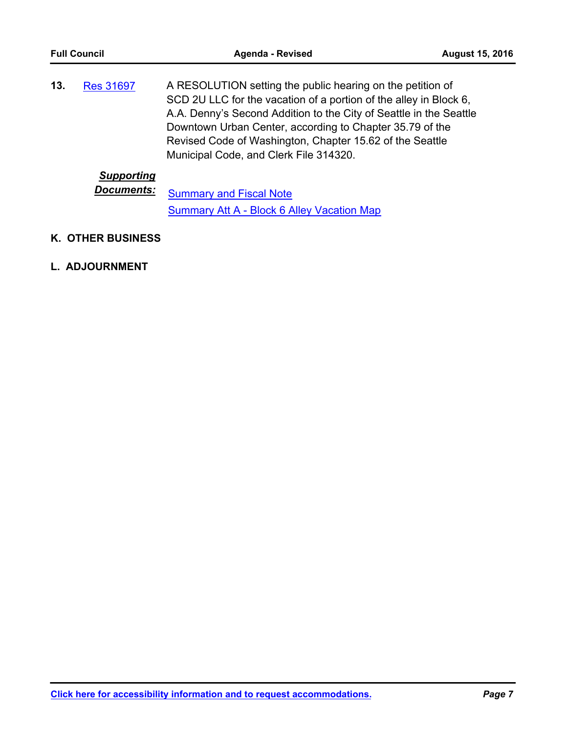A RESOLUTION setting the public hearing on the petition of SCD 2U LLC for the vacation of a portion of the alley in Block 6, A.A. Denny's Second Addition to the City of Seattle in the Seattle Downtown Urban Center, according to Chapter 35.79 of the Revised Code of Washington, Chapter 15.62 of the Seattle Municipal Code, and Clerk File 314320. **13.** [Res 31697](http://seattle.legistar.com/gateway.aspx?m=l&id=/matter.aspx?key=4389)

### *Supporting*

**Documents:** [Summary and Fiscal Note](http://seattle.legistar.com/gateway.aspx?M=F&ID=533a9827-313b-4d14-ba01-600dbbbe315b.docx) [Summary Att A - Block 6 Alley Vacation Map](http://seattle.legistar.com/gateway.aspx?M=F&ID=33c85c70-38ca-428d-8339-943fe5749970.docx)

#### **K. OTHER BUSINESS**

#### **L. ADJOURNMENT**